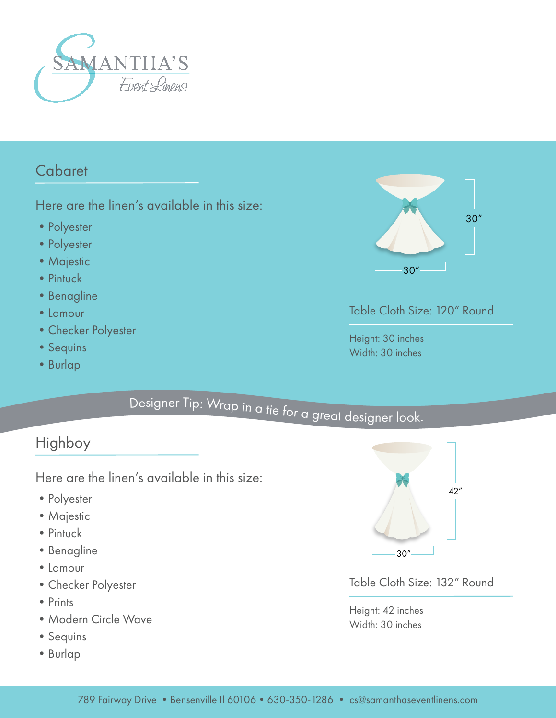

#### Cabaret

Here are the linen's available in this size:

- Polyester
- Polyester
- Majestic
- Pintuck
- Benagline
- •Lamour
- •Checker Polyester
- Sequins
- •Burlap



#### Table Cloth Size: 120" Round

Height: 30 inches Width: 30 inches

# <sup>D</sup>esig<sup>n</sup>e<sup>r</sup> <sup>T</sup>ip: <sup>W</sup><sup>r</sup><sup>a</sup><sup>p</sup> <sup>i</sup><sup>n</sup> <sup>a</sup> <sup>t</sup>i<sup>e</sup> <sup>f</sup><sup>o</sup><sup>r</sup> <sup>a</sup> <sup>g</sup><sup>r</sup>ea<sup>t</sup> <sup>d</sup><sup>e</sup>sig<sup>n</sup>e<sup>r</sup> <sup>l</sup>o<sup>o</sup>k.

### Highboy

Here are the linen's available in this size:

- Polyester
- •Majestic
- Pintuck
- •Benagline
- •Lamour
- •Checker Polyester
- Prints
- •Modern Circle Wave
- Sequins
- •Burlap



Table Cloth Size: 132" Round

Height: 42 inches Width: 30 inches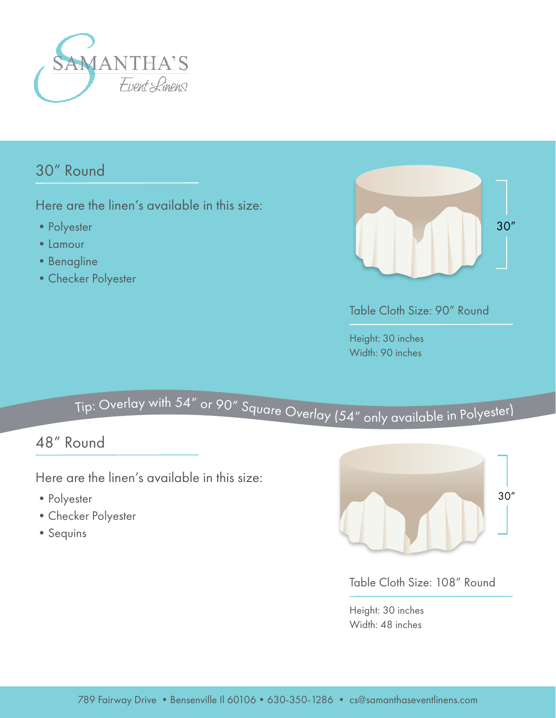

### 30" Round

Here are the linen's available in this size:

- Polyester
- •Lamour
- Benagline
- •Checker Polyester



Table Cloth Size: 90" Round

Height: 30 inches Width: 90 inches

## <sup>T</sup>ip: <sup>O</sup>ve<sup>r</sup>la<sup>y</sup> <sup>w</sup>it<sup>h</sup> <sup>5</sup>4" <sup>o</sup><sup>r</sup> <sup>9</sup>0" <sup>S</sup>q<sup>u</sup>ar<sup>e</sup> <sup>O</sup><sup>v</sup>erl<sup>a</sup><sup>y</sup> (54" <sup>o</sup>nl<sup>y</sup> <sup>a</sup>vailabl<sup>e</sup> <sup>i</sup><sup>n</sup> <sup>P</sup>oly<sup>e</sup>ste<sup>r</sup>)

#### 48" Round

Here are the linen's available in this size:

- Polyester
- •Checker Polyester
- Sequins



Table Cloth Size: 108" Round

Height: 30 inches Width: 48 inches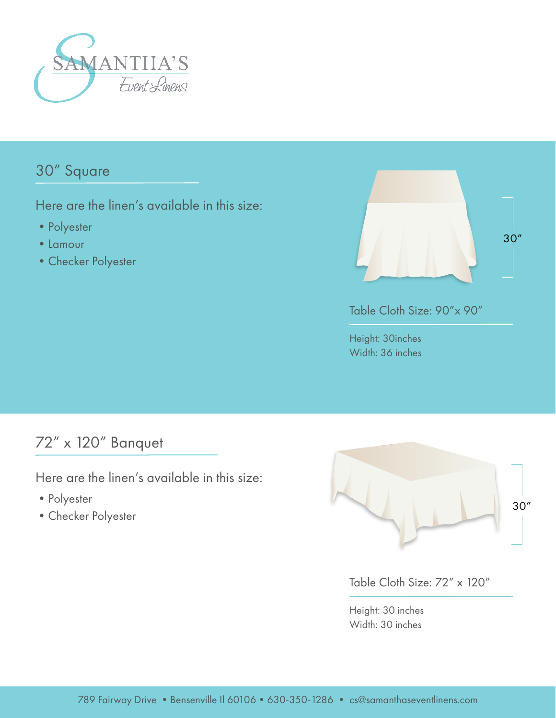

#### 30" Square

Here are the linen's available in this size:

- Polyester
- •Lamour
- •Checker Polyester



Table Cloth Size: 90"x 90"

Height: 30inches Width: 36 inches

#### 72" x 120" Banquet

Here are the linen's available in this size:

- Polyester
- •Checker Polyester



Table Cloth Size: 72" x 120"

Height: 30 inches Width: 30 inches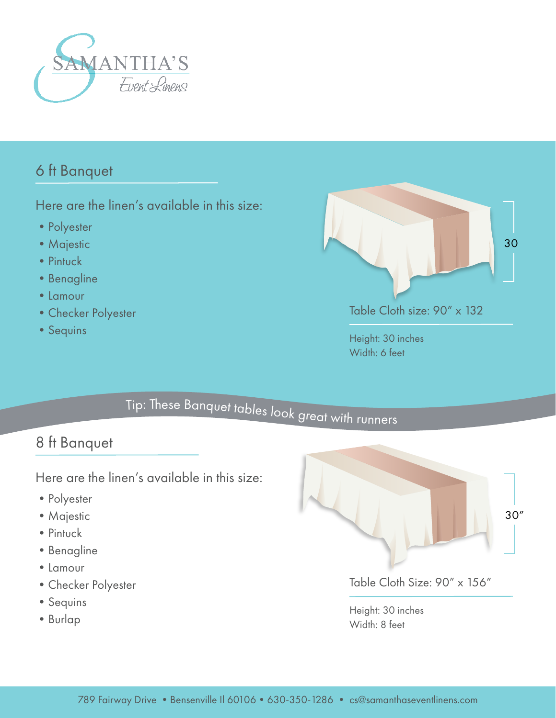

#### 6 ft Banquet

Here are the linen's available in this size:

- Polyester
- Majestic
- Pintuck
- Benagline
- •Lamour
- •Checker Polyester
- Sequins



Height: 30 inches Width: 6 feet

# <sup>T</sup>ip: <sup>T</sup>h<sup>e</sup>s<sup>e</sup> <sup>B</sup><sup>a</sup><sup>n</sup>q<sup>u</sup>e<sup>t</sup> <sup>t</sup>abl<sup>e</sup><sup>s</sup> <sup>l</sup><sup>o</sup>o<sup>k</sup> <sup>g</sup><sup>r</sup>ea<sup>t</sup> <sup>w</sup>it<sup>h</sup> <sup>r</sup>unner<sup>s</sup>

#### 8 ft Banquet

Here are the linen's available in this size:

- Polyester
- Majestic
- Pintuck
- •Benagline
- •Lamour
- •Checker Polyester
- Sequins
- •Burlap



Table Cloth Size: 90" x 156"

Height: 30 inches Width: 8 feet